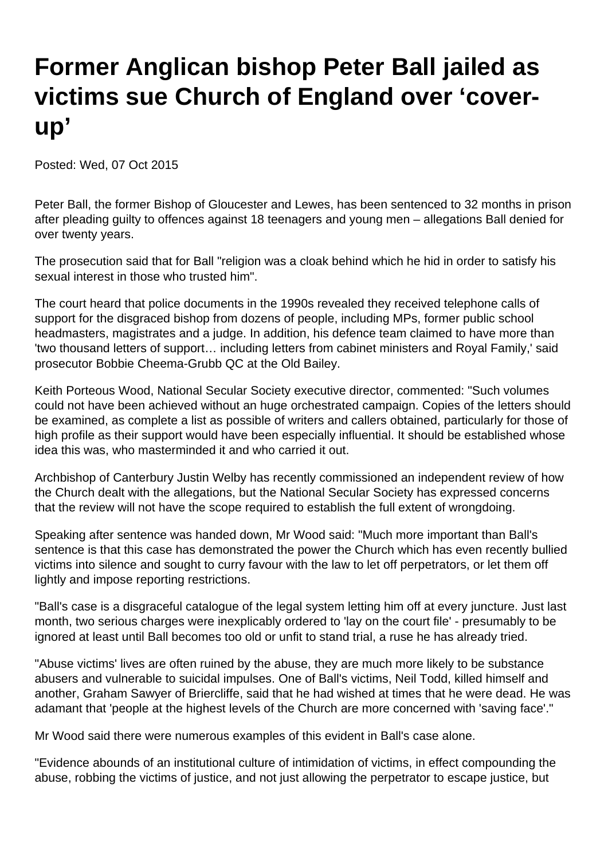## **Former Anglican bishop Peter Ball jailed as victims sue Church of England over 'coverup'**

Posted: Wed, 07 Oct 2015

Peter Ball, the former Bishop of Gloucester and Lewes, has been sentenced to 32 months in prison after pleading guilty to offences against 18 teenagers and young men – allegations Ball denied for over twenty years.

The prosecution said that for Ball "religion was a cloak behind which he hid in order to satisfy his sexual interest in those who trusted him".

The court heard that police documents in the 1990s revealed they received telephone calls of support for the disgraced bishop from dozens of people, including MPs, former public school headmasters, magistrates and a judge. In addition, his defence team claimed to have more than 'two thousand letters of support… including letters from cabinet ministers and Royal Family,' said prosecutor Bobbie Cheema-Grubb QC at the Old Bailey.

Keith Porteous Wood, National Secular Society executive director, commented: "Such volumes could not have been achieved without an huge orchestrated campaign. Copies of the letters should be examined, as complete a list as possible of writers and callers obtained, particularly for those of high profile as their support would have been especially influential. It should be established whose idea this was, who masterminded it and who carried it out.

Archbishop of Canterbury Justin Welby has recently commissioned an independent review of how the Church dealt with the allegations, but the National Secular Society has expressed concerns that the review will not have the scope required to establish the full extent of wrongdoing.

Speaking after sentence was handed down, Mr Wood said: "Much more important than Ball's sentence is that this case has demonstrated the power the Church which has even recently bullied victims into silence and sought to curry favour with the law to let off perpetrators, or let them off lightly and impose reporting restrictions.

"Ball's case is a disgraceful catalogue of the legal system letting him off at every juncture. Just last month, two serious charges were inexplicably ordered to 'lay on the court file' - presumably to be ignored at least until Ball becomes too old or unfit to stand trial, a ruse he has already tried.

"Abuse victims' lives are often ruined by the abuse, they are much more likely to be substance abusers and vulnerable to suicidal impulses. One of Ball's victims, Neil Todd, killed himself and another, Graham Sawyer of Briercliffe, said that he had wished at times that he were dead. He was adamant that 'people at the highest levels of the Church are more concerned with 'saving face'."

Mr Wood said there were numerous examples of this evident in Ball's case alone.

"Evidence abounds of an institutional culture of intimidation of victims, in effect compounding the abuse, robbing the victims of justice, and not just allowing the perpetrator to escape justice, but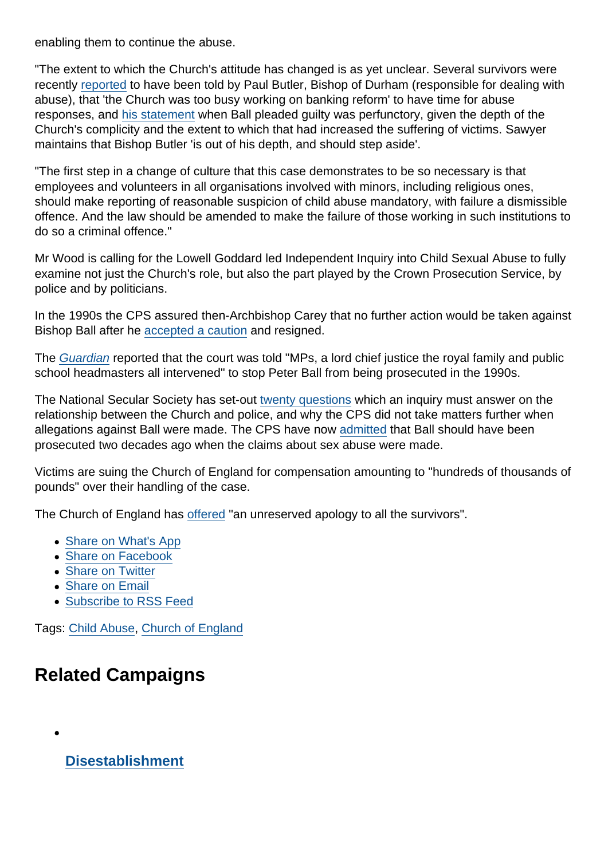enabling them to continue the abuse.

"The extent to which the Church's attitude has changed is as yet unclear. Several survivors were recently [reported](http://www.churchnewspaper.com/wp-content/uploads/2015/06/coen_16-06-2015.pdf) to have been told by Paul Butler, Bishop of Durham (responsible for dealing with abuse), that 'the Church was too busy working on banking reform' to have time for abuse responses, and [his statement](http://www.anglicanink.com/article/bishop-durhams-statement-conviction-bishop-ball-abuse) when Ball pleaded guilty was perfunctory, given the depth of the Church's complicity and the extent to which that had increased the suffering of victims. Sawyer maintains that Bishop Butler 'is out of his depth, and should step aside'.

"The first step in a change of culture that this case demonstrates to be so necessary is that employees and volunteers in all organisations involved with minors, including religious ones, should make reporting of reasonable suspicion of child abuse mandatory, with failure a dismissible offence. And the law should be amended to make the failure of those working in such institutions to do so a criminal offence."

Mr Wood is calling for the Lowell Goddard led Independent Inquiry into Child Sexual Abuse to fully examine not just the Church's role, but also the part played by the Crown Prosecution Service, by police and by politicians.

In the 1990s the CPS assured then-Archbishop Carey that no further action would be taken against Bishop Ball after he [accepted a caution](http://www.telegraph.co.uk/news/uknews/crime/11915828/Sex-abuse-victims-of-former-bishop-Peter-Ball-sue-Church-of-England.html) and resigned.

The [Guardian](http://www.theguardian.com/uk-news/2015/oct/07/peadophile-bishop-peter-ball-escaped-charges-mps-royal-family-intervened-court?CMP=twt_b-gdnnews) reported that the court was told "MPs, a lord chief justice the royal family and public school headmasters all intervened" to stop Peter Ball from being prosecuted in the 1990s.

The National Secular Society has set-out [twenty questions](https://www.secularism.org.uk/blog/2015/10/inquiry-into-cofe-sex-abuse--20-questions-that-must-be-answered) which an inquiry must answer on the relationship between the Church and police, and why the CPS did not take matters further when allegations against Ball were made. The CPS have now [admitted](http://www.christiantoday.com/article/peter.ball.should.have.been.prosecuted.for.sex.abuse.22.years.ago.admits.cps/64614.htm) that Ball should have been prosecuted two decades ago when the claims about sex abuse were made.

Victims are suing the Church of England for compensation amounting to "hundreds of thousands of pounds" over their handling of the case.

The Church of England has [offered](https://www.churchofengland.org/media-centre/news/2015/09/statement-on-conviction-of-bishop-peter-ball.aspx#.VhTsnFdVkdV.twitter) "an unreserved apology to all the survivors".

- [Share on What's App](whatsapp://send?text=http://www.secularism.org.uk/news/2015/10/former-anglican-bishop-peter-ball-jailed-as-victims-sue-church-of-england-over-cover-up?format=pdf)
- [Share on Facebook](https://www.facebook.com/sharer/sharer.php?u=http://www.secularism.org.uk/news/2015/10/former-anglican-bishop-peter-ball-jailed-as-victims-sue-church-of-england-over-cover-up?format=pdf&t=Former+Anglican+bishop+Peter+Ball+jailed+as+victims+sue+Church+of+England+over+‘cover-up’)
- [Share on Twitter](https://twitter.com/intent/tweet?url=http://www.secularism.org.uk/news/2015/10/former-anglican-bishop-peter-ball-jailed-as-victims-sue-church-of-england-over-cover-up?format=pdf&text=Former+Anglican+bishop+Peter+Ball+jailed+as+victims+sue+Church+of+England+over+‘cover-up’&via=NatSecSoc)
- [Share on Email](https://www.secularism.org.uk/share.html?url=http://www.secularism.org.uk/news/2015/10/former-anglican-bishop-peter-ball-jailed-as-victims-sue-church-of-england-over-cover-up?format=pdf&title=Former+Anglican+bishop+Peter+Ball+jailed+as+victims+sue+Church+of+England+over+‘cover-up’)
- [Subscribe to RSS Feed](/mnt/web-data/www/cp-nss/feeds/rss/news)

Tags: [Child Abuse](https://www.secularism.org.uk/news/tags/Child+Abuse), [Church of England](https://www.secularism.org.uk/news/tags/Church+of+England)

## Related Campaigns

[Disestablishment](https://www.secularism.org.uk/disestablishment/)